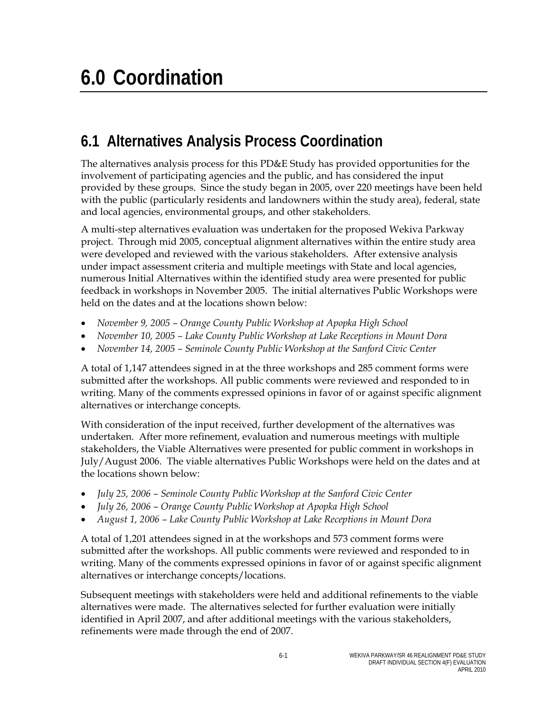## **6.1 Alternatives Analysis Process Coordination**

The alternatives analysis process for this PD&E Study has provided opportunities for the involvement of participating agencies and the public, and has considered the input provided by these groups. Since the study began in 2005, over 220 meetings have been held with the public (particularly residents and landowners within the study area), federal, state and local agencies, environmental groups, and other stakeholders.

A multi-step alternatives evaluation was undertaken for the proposed Wekiva Parkway project. Through mid 2005, conceptual alignment alternatives within the entire study area were developed and reviewed with the various stakeholders. After extensive analysis under impact assessment criteria and multiple meetings with State and local agencies, numerous Initial Alternatives within the identified study area were presented for public feedback in workshops in November 2005. The initial alternatives Public Workshops were held on the dates and at the locations shown below:

- *November 9, 2005 Orange County Public Workshop at Apopka High School*
- *November 10, 2005 Lake County Public Workshop at Lake Receptions in Mount Dora*
- *November 14, 2005 Seminole County Public Workshop at the Sanford Civic Center*

A total of 1,147 attendees signed in at the three workshops and 285 comment forms were submitted after the workshops. All public comments were reviewed and responded to in writing. Many of the comments expressed opinions in favor of or against specific alignment alternatives or interchange concepts.

With consideration of the input received, further development of the alternatives was undertaken. After more refinement, evaluation and numerous meetings with multiple stakeholders, the Viable Alternatives were presented for public comment in workshops in July/August 2006. The viable alternatives Public Workshops were held on the dates and at the locations shown below:

- *July 25, 2006 Seminole County Public Workshop at the Sanford Civic Center*
- *July 26, 2006 Orange County Public Workshop at Apopka High School*
- *August 1, 2006 Lake County Public Workshop at Lake Receptions in Mount Dora*

A total of 1,201 attendees signed in at the workshops and 573 comment forms were submitted after the workshops. All public comments were reviewed and responded to in writing. Many of the comments expressed opinions in favor of or against specific alignment alternatives or interchange concepts/locations.

Subsequent meetings with stakeholders were held and additional refinements to the viable alternatives were made. The alternatives selected for further evaluation were initially identified in April 2007, and after additional meetings with the various stakeholders, refinements were made through the end of 2007.